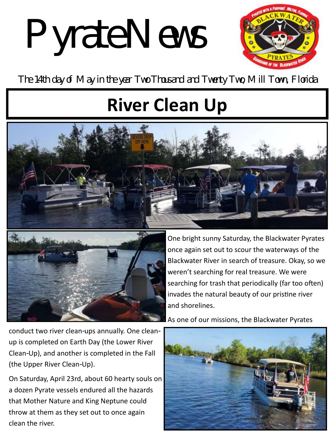# Pyrate News



The 14th day of May in the year Two Thousand and Twenty Two, Mill Town, Florida

## **River Clean Up**





One bright sunny Saturday, the Blackwater Pyrates once again set out to scour the waterways of the Blackwater River in search of treasure. Okay, so we weren't searching for real treasure. We were searching for trash that periodically (far too often) invades the natural beauty of our pristine river and shorelines.

As one of our missions, the Blackwater Pyrates

conduct two river clean-ups annually. One cleanup is completed on Earth Day (the Lower River Clean-Up), and another is completed in the Fall (the Upper River Clean-Up).

On Saturday, April 23rd, about 60 hearty souls on a dozen Pyrate vessels endured all the hazards that Mother Nature and King Neptune could throw at them as they set out to once again clean the river.

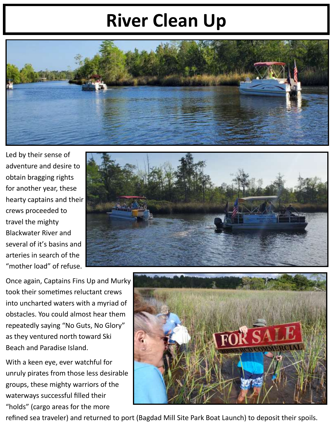## **River Clean Up**



Led by their sense of adventure and desire to obtain bragging rights for another year, these hearty captains and their crews proceeded to travel the mighty Blackwater River and several of it's basins and arteries in search of the "mother load" of refuse.



Once again, Captains Fins Up and Murky took their sometimes reluctant crews into uncharted waters with a myriad of obstacles. You could almost hear them repeatedly saying "No Guts, No Glory" as they ventured north toward Ski Beach and Paradise Island.

With a keen eye, ever watchful for unruly pirates from those less desirable groups, these mighty warriors of the waterways successful filled their "holds" (cargo areas for the more



refined sea traveler) and returned to port (Bagdad Mill Site Park Boat Launch) to deposit their spoils.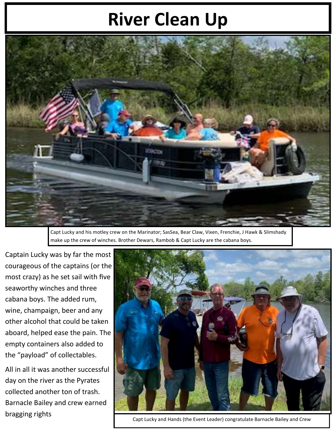## **River Clean Up**



Capt Lucky and his motley crew on the Marinator; SasSea, Bear Claw, Vixen, Frenchie, J Hawk & Slimshady make up the crew of winches. Brother Dewars, Rambob & Capt Lucky are the cabana boys.

Captain Lucky was by far the most courageous of the captains (or the most crazy) as he set sail with five seaworthy winches and three cabana boys. The added rum, wine, champaign, beer and any other alcohol that could be taken aboard, helped ease the pain. The empty containers also added to the "payload" of collectables.

All in all it was another successful day on the river as the Pyrates collected another ton of trash. Barnacle Bailey and crew earned bragging rights



Capt Lucky and Hands (the Event Leader) congratulate Barnacle Bailey and Crew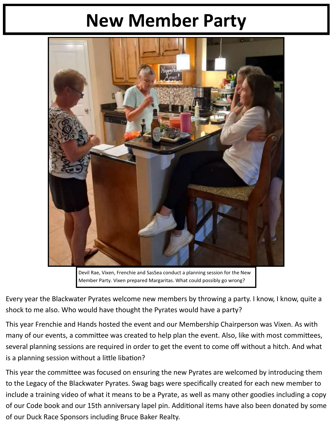### **New Member Party**



Devil Rae, Vixen, Frenchie and SasSea conduct a planning session for the New Member Party. Vixen prepared Margaritas. What could possibly go wrong?

Every year the Blackwater Pyrates welcome new members by throwing a party. I know, I know, quite a shock to me also. Who would have thought the Pyrates would have a party?

This year Frenchie and Hands hosted the event and our Membership Chairperson was Vixen. As with many of our events, a committee was created to help plan the event. Also, like with most committees, several planning sessions are required in order to get the event to come off without a hitch. And what is a planning session without a little libation?

This year the committee was focused on ensuring the new Pyrates are welcomed by introducing them to the Legacy of the Blackwater Pyrates. Swag bags were specifically created for each new member to include a training video of what it means to be a Pyrate, as well as many other goodies including a copy of our Code book and our 15th anniversary lapel pin. Additional items have also been donated by some of our Duck Race Sponsors including Bruce Baker Realty.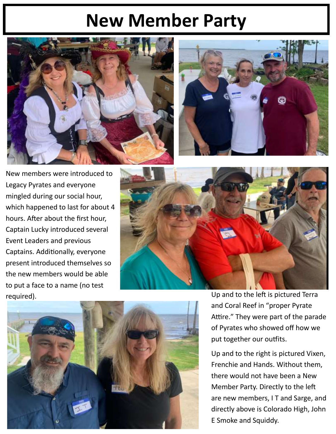#### **New Member Party**





New members were introduced to Legacy Pyrates and everyone mingled during our social hour, which happened to last for about 4 hours. After about the first hour, Captain Lucky introduced several Event Leaders and previous Captains. Additionally, everyone present introduced themselves so the new members would be able to put a face to a name (no test





required). Up and to the left is pictured Terra and Coral Reef in "proper Pyrate Attire." They were part of the parade of Pyrates who showed off how we put together our outfits.

> Up and to the right is pictured Vixen, Frenchie and Hands. Without them, there would not have been a New Member Party. Directly to the left are new members, I T and Sarge, and directly above is Colorado High, John E Smoke and Squiddy.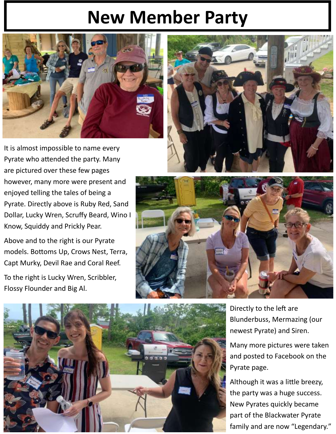#### **New Member Party**



It is almost impossible to name every Pyrate who attended the party. Many are pictured over these few pages however, many more were present and enjoyed telling the tales of being a Pyrate. Directly above is Ruby Red, Sand Dollar, Lucky Wren, Scruffy Beard, Wino I Know, Squiddy and Prickly Pear.

Above and to the right is our Pyrate models. Bottoms Up, Crows Nest, Terra, Capt Murky, Devil Rae and Coral Reef.

To the right is Lucky Wren, Scribbler, Flossy Flounder and Big Al.







Directly to the left are Blunderbuss, Mermazing (our newest Pyrate) and Siren.

Many more pictures were taken and posted to Facebook on the Pyrate page.

Although it was a little breezy, the party was a huge success. New Pyrates quickly became part of the Blackwater Pyrate family and are now "Legendary."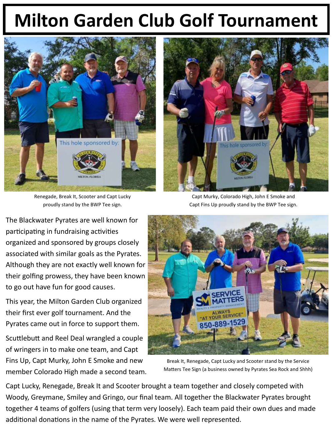## **Milton Garden Club Golf Tournament**



Renegade, Break It, Scooter and Capt Lucky proudly stand by the BWP Tee sign.

The Blackwater Pyrates are well known for participating in fundraising activities organized and sponsored by groups closely associated with similar goals as the Pyrates. Although they are not exactly well known for their golfing prowess, they have been known to go out have fun for good causes.

This year, the Milton Garden Club organized their first ever golf tournament. And the Pyrates came out in force to support them.

Scuttlebutt and Reel Deal wrangled a couple of wringers in to make one team, and Capt Fins Up, Capt Murky, John E Smoke and new member Colorado High made a second team.



Capt Murky, Colorado High, John E Smoke and Capt Fins Up proudly stand by the BWP Tee sign.



Break It, Renegade, Capt Lucky and Scooter stand by the Service Matters Tee Sign (a business owned by Pyrates Sea Rock and Shhh)

Capt Lucky, Renegade, Break It and Scooter brought a team together and closely competed with Woody, Greymane, Smiley and Gringo, our final team. All together the Blackwater Pyrates brought together 4 teams of golfers (using that term very loosely). Each team paid their own dues and made additional donations in the name of the Pyrates. We were well represented.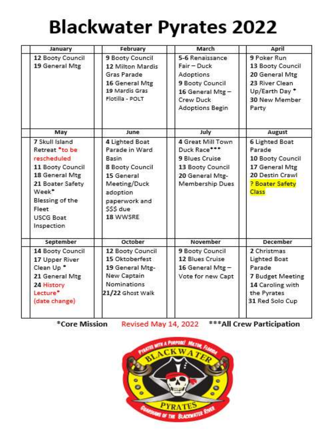## **Blackwater Pyrates 2022**

| January                                                                                                                                                                          | February                                                                                                                                              | March                                                                                                             | April                                                                                                                  |
|----------------------------------------------------------------------------------------------------------------------------------------------------------------------------------|-------------------------------------------------------------------------------------------------------------------------------------------------------|-------------------------------------------------------------------------------------------------------------------|------------------------------------------------------------------------------------------------------------------------|
| 12 Booty Council<br>19 General Mtg                                                                                                                                               | 9 Booty Council<br>12 Milton Mardis<br>Gras Parade<br>16 General Mtg<br>19 Mardis Gras<br>Flotilla - POLT                                             | 5-6 Renaissance<br>Fair - Duck<br>Adoptions<br>9 Booty Council<br>16 General Mtg-<br>Crew Duck<br>Adoptions Begin | 9 Poker Run<br>13 Booty Council<br>20 General Mtg<br>23 River Clean<br>Up/Earth Day*<br>30 New Member<br>Party         |
| May                                                                                                                                                                              | June                                                                                                                                                  | July                                                                                                              | August                                                                                                                 |
| 7 Skull Island<br>Retreat *to be<br>rescheduled<br>11 Booty Council<br>18 General Mtg<br>21 Boater Safety<br>Week*<br>Blessing of the<br>Fleet<br><b>USCG Boat</b><br>Inspection | 4 Lighted Boat<br>Parade in Ward<br>Basin<br><b>8 Booty Council</b><br>15 General<br>Meeting/Duck<br>adoption<br>paperwork and<br>SSS due<br>18 WWSRE | 4 Great Mill Town<br>Duck Race***<br>9 Blues Cruise<br>13 Booty Council<br>20 General Mtg-<br>Membership Dues     | 6 Lighted Boat<br>Parade<br>10 Booty Council<br>17 General Mtg<br>20 Destin Crawl<br>? Boater Safety<br>Class          |
| September                                                                                                                                                                        | October                                                                                                                                               | November                                                                                                          | <b>December</b>                                                                                                        |
| 14 Booty Council<br>17 Upper River<br>Clean Up *<br>21 General Mtg<br>24 History<br>Lecture*<br>(date change)                                                                    | 12 Booty Council<br>15 Oktoberfest<br>19 General Mtg-<br>New Captain<br>Nominations<br>21/22 Ghost Walk                                               | 9 Booty Council<br>12 Blues Cruise<br>16 General Mtg-<br>Vote for new Capt                                        | 2 Christmas<br><b>Lighted Boat</b><br>Parade<br>7 Budget Meeting<br>14 Caroling with<br>the Pyrates<br>31 Red Solo Cup |

Revised May 14, 2022 \*\*\* All Crew Participation \*Core Mission

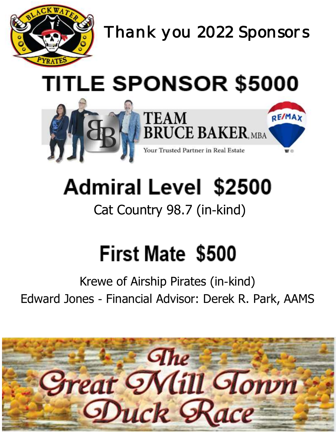

*Thank you 2022 Sponsors* 

# **TITLE SPONSOR \$5000**



# **Admiral Level \$2500**

#### Cat Country 98.7 (in-kind)

## **First Mate \$500**

#### Krewe of Airship Pirates (in-kind) Edward Jones - Financial Advisor: Derek R. Park, AAMS